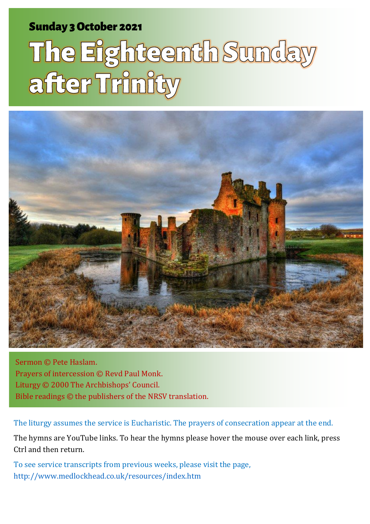### Sunday 3 October 2021 1 The Eighteenth Sunday 3 October 2021 1 The Eighteenth Sunday after Trinity and Sunday

# The Eighteenth Sunday after Trinity



Sermon © Pete Haslam. Prayers of intercession © Revd Paul Monk. Liturgy © 2000 The Archbishops' Council. Bible readings © the publishers of the NRSV translation.

The liturgy assumes the service is Eucharistic. The prayers of consecration appear at the end.

The hymns are YouTube links. To hear the hymns please hover the mouse over each link, press Ctrl and then return.

To see service transcripts from previous weeks, please visit the page, [http://www.medlockhead.co.uk/resources/index.htm](about:blank)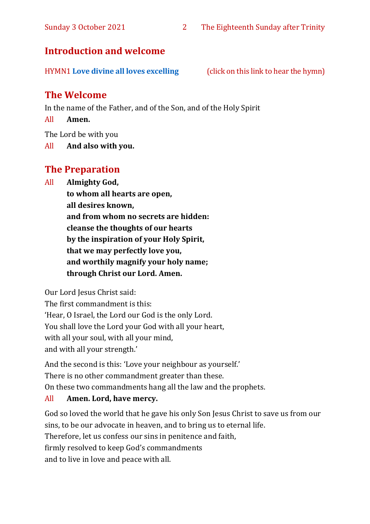#### **Introduction and welcome**

HYMN1 **[Love divine all loves excelling](https://www.youtube.com/watch?v=_hmfqe_8SEI&list=RD_hmfqe_8SEI&start_radio=1&rv=_hmfqe_8SEI&t=51)** (click on this link to hear the hymn)

#### **The Welcome**

In the name of the Father, and of the Son, and of the Holy Spirit

All **Amen.**

The Lord be with you

All **And also with you.**

#### **The Preparation**

All **Almighty God,**

**to whom all hearts are open, all desires known, and from whom no secrets are hidden: cleanse the thoughts of our hearts by the inspiration of your Holy Spirit, that we may perfectly love you, and worthily magnify your holy name; through Christ our Lord. Amen.**

Our Lord Jesus Christ said:

The first commandment is this: 'Hear, O Israel, the Lord our God is the only Lord. You shall love the Lord your God with all your heart, with all your soul, with all your mind, and with all your strength.'

And the second is this: 'Love your neighbour as yourself.' There is no other commandment greater than these. On these two commandments hang all the law and the prophets.

#### All **Amen. Lord, have mercy.**

God so loved the world that he gave his only Son Jesus Christ to save us from our sins, to be our advocate in heaven, and to bring us to eternal life. Therefore, let us confess our sins in penitence and faith, firmly resolved to keep God's commandments and to live in love and peace with all.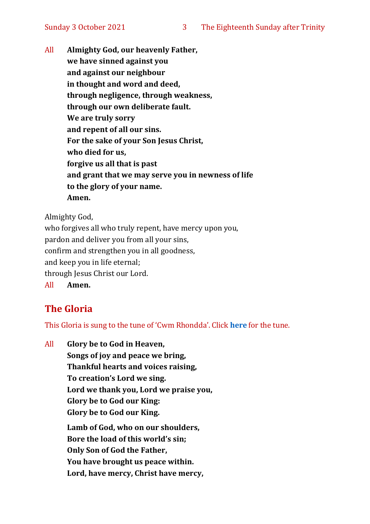All **Almighty God, our heavenly Father, we have sinned against you and against our neighbour in thought and word and deed, through negligence, through weakness, through our own deliberate fault. We are truly sorry and repent of all our sins. For the sake of your Son Jesus Christ, who died for us, forgive us all that is past and grant that we may serve you in newness of life to the glory of your name. Amen.**

Almighty God,

who forgives all who truly repent, have mercy upon you, pardon and deliver you from all your sins, confirm and strengthen you in all goodness, and keep you in life eternal; through Jesus Christ our Lord. All **Amen.**

#### **The Gloria**

This Gloria is sung to the tune of 'Cwm Rhondda'. Click **[here](about:blank)** for the tune.

All **Glory be to God in Heaven, Songs of joy and peace we bring, Thankful hearts and voices raising, To creation's Lord we sing. Lord we thank you, Lord we praise you, Glory be to God our King: Glory be to God our King. Lamb of God, who on our shoulders, Bore the load of this world's sin; Only Son of God the Father, You have brought us peace within. Lord, have mercy, Christ have mercy,**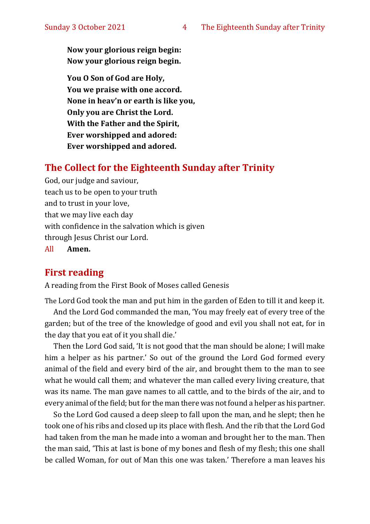**Now your glorious reign begin: Now your glorious reign begin.**

**You O Son of God are Holy, You we praise with one accord. None in heav'n or earth is like you, Only you are Christ the Lord. With the Father and the Spirit, Ever worshipped and adored: Ever worshipped and adored.**

#### **The Collect for the Eighteenth Sunday after Trinity**

God, our judge and saviour, teach us to be open to your truth and to trust in your love, that we may live each day with confidence in the salvation which is given through Jesus Christ our Lord.

All **Amen.**

#### **First reading**

A reading from the First Book of Moses called Genesis

The Lord God took the man and put him in the garden of Eden to till it and keep it. And the Lord God commanded the man, 'You may freely eat of every tree of the garden; but of the tree of the knowledge of good and evil you shall not eat, for in the day that you eat of it you shall die.'

Then the Lord God said, 'It is not good that the man should be alone; I will make him a helper as his partner.' So out of the ground the Lord God formed every animal of the field and every bird of the air, and brought them to the man to see what he would call them; and whatever the man called every living creature, that was its name. The man gave names to all cattle, and to the birds of the air, and to every animal of the field; but for the man there was not found a helper as his partner.

So the Lord God caused a deep sleep to fall upon the man, and he slept; then he took one of his ribs and closed up its place with flesh. And the rib that the Lord God had taken from the man he made into a woman and brought her to the man. Then the man said, 'This at last is bone of my bones and flesh of my flesh; this one shall be called Woman, for out of Man this one was taken.' Therefore a man leaves his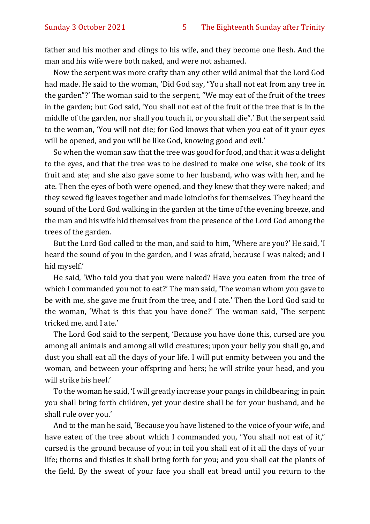father and his mother and clings to his wife, and they become one flesh. And the man and his wife were both naked, and were not ashamed.

Now the serpent was more crafty than any other wild animal that the Lord God had made. He said to the woman, 'Did God say, "You shall not eat from any tree in the garden"?' The woman said to the serpent, "We may eat of the fruit of the trees in the garden; but God said, 'You shall not eat of the fruit of the tree that is in the middle of the garden, nor shall you touch it, or you shall die".' But the serpent said to the woman, 'You will not die; for God knows that when you eat of it your eyes will be opened, and you will be like God, knowing good and evil.'

So when the woman saw that the tree was good for food, and that it was a delight to the eyes, and that the tree was to be desired to make one wise, she took of its fruit and ate; and she also gave some to her husband, who was with her, and he ate. Then the eyes of both were opened, and they knew that they were naked; and they sewed fig leaves together and made loincloths for themselves. They heard the sound of the Lord God walking in the garden at the time of the evening breeze, and the man and his wife hid themselves from the presence of the Lord God among the trees of the garden.

But the Lord God called to the man, and said to him, 'Where are you?' He said, 'I heard the sound of you in the garden, and I was afraid, because I was naked; and I hid myself.'

He said, 'Who told you that you were naked? Have you eaten from the tree of which I commanded you not to eat?' The man said, 'The woman whom you gave to be with me, she gave me fruit from the tree, and I ate.' Then the Lord God said to the woman, 'What is this that you have done?' The woman said, 'The serpent tricked me, and I ate.'

The Lord God said to the serpent, 'Because you have done this, cursed are you among all animals and among all wild creatures; upon your belly you shall go, and dust you shall eat all the days of your life. I will put enmity between you and the woman, and between your offspring and hers; he will strike your head, and you will strike his heel.'

To the woman he said, 'I will greatly increase your pangs in childbearing; in pain you shall bring forth children, yet your desire shall be for your husband, and he shall rule over you.'

And to the man he said, 'Because you have listened to the voice of your wife, and have eaten of the tree about which I commanded you, "You shall not eat of it," cursed is the ground because of you; in toil you shall eat of it all the days of your life; thorns and thistles it shall bring forth for you; and you shall eat the plants of the field. By the sweat of your face you shall eat bread until you return to the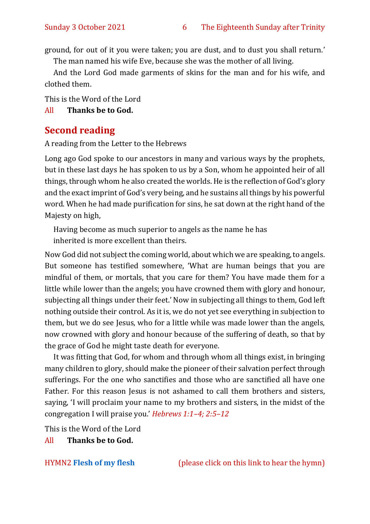ground, for out of it you were taken; you are dust, and to dust you shall return.'

The man named his wife Eve, because she was the mother of all living.

And the Lord God made garments of skins for the man and for his wife, and clothed them.

This is the Word of the Lord

All **Thanks be to God.**

#### **Second reading**

A reading from the Letter to the Hebrews

Long ago God spoke to our ancestors in many and various ways by the prophets, but in these last days he has spoken to us by a Son, whom he appointed heir of all things, through whom he also created the worlds. He is the reflection of God's glory and the exact imprint of God's very being, and he sustains all things by his powerful word. When he had made purification for sins, he sat down at the right hand of the Majesty on high,

Having become as much superior to angels as the name he has inherited is more excellent than theirs.

Now God did not subject the coming world, about which we are speaking, to angels. But someone has testified somewhere, 'What are human beings that you are mindful of them, or mortals, that you care for them? You have made them for a little while lower than the angels; you have crowned them with glory and honour, subjecting all things under their feet.' Now in subjecting all things to them, God left nothing outside their control. As it is, we do not yet see everything in subjection to them, but we do see Jesus, who for a little while was made lower than the angels, now crowned with glory and honour because of the suffering of death, so that by the grace of God he might taste death for everyone.

It was fitting that God, for whom and through whom all things exist, in bringing many children to glory, should make the pioneer of their salvation perfect through sufferings. For the one who sanctifies and those who are sanctified all have one Father. For this reason Jesus is not ashamed to call them brothers and sisters, saying, 'I will proclaim your name to my brothers and sisters, in the midst of the congregation I will praise you.' *Hebrews 1:1–4; 2:5–12*

This is the Word of the Lord

All **Thanks be to God.**

HYMN2 **[Flesh of my flesh](https://www.youtube.com/watch?v=KFt52x-ulEU)** (please click on this link to hear the hymn)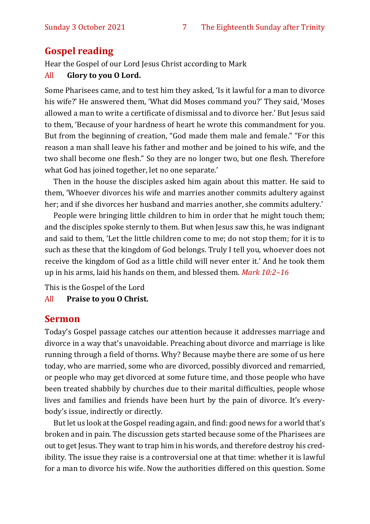#### **Gospel reading**

Hear the Gospel of our Lord Jesus Christ according to Mark

#### All **Glory to you O Lord.**

Some Pharisees came, and to test him they asked, 'Is it lawful for a man to divorce his wife?' He answered them, 'What did Moses command you?' They said, 'Moses allowed a man to write a certificate of dismissal and to divorce her.' But Jesus said to them, 'Because of your hardness of heart he wrote this commandment for you. But from the beginning of creation, "God made them male and female." "For this reason a man shall leave his father and mother and be joined to his wife, and the two shall become one flesh." So they are no longer two, but one flesh. Therefore what God has joined together, let no one separate.'

Then in the house the disciples asked him again about this matter. He said to them, 'Whoever divorces his wife and marries another commits adultery against her; and if she divorces her husband and marries another, she commits adultery.'

People were bringing little children to him in order that he might touch them; and the disciples spoke sternly to them. But when Jesus saw this, he was indignant and said to them, 'Let the little children come to me; do not stop them; for it is to such as these that the kingdom of God belongs. Truly I tell you, whoever does not receive the kingdom of God as a little child will never enter it.' And he took them up in his arms, laid his hands on them, and blessed them. *Mark 10:2–16*

This is the Gospel of the Lord

#### All **Praise to you O Christ.**

#### **Sermon**

Today's Gospel passage catches our attention because it addresses marriage and divorce in a way that's unavoidable. Preaching about divorce and marriage is like running through a field of thorns. Why? Because maybe there are some of us here today, who are married, some who are divorced, possibly divorced and remarried, or people who may get divorced at some future time, and those people who have been treated shabbily by churches due to their marital difficulties, people whose lives and families and friends have been hurt by the pain of divorce. It's everybody's issue, indirectly or directly.

But let us look at the Gospel reading again, and find: good news for a world that's broken and in pain. The discussion gets started because some of the Pharisees are out to get Jesus. They want to trap him in his words, and therefore destroy his credibility. The issue they raise is a controversial one at that time: whether it is lawful for a man to divorce his wife. Now the authorities differed on this question. Some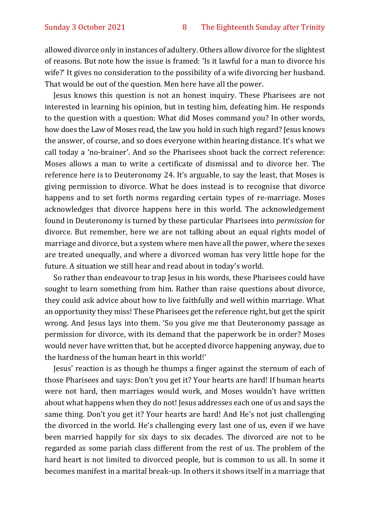allowed divorce only in instances of adultery. Others allow divorce for the slightest of reasons. But note how the issue is framed: 'Is it lawful for a man to divorce his wife?' It gives no consideration to the possibility of a wife divorcing her husband. That would be out of the question. Men here have all the power.

Jesus knows this question is not an honest inquiry. These Pharisees are not interested in learning his opinion, but in testing him, defeating him. He responds to the question with a question: What did Moses command you? In other words, how does the Law of Moses read, the law you hold in such high regard? Jesus knows the answer, of course, and so does everyone within hearing distance. It's what we call today a 'no-brainer'. And so the Pharisees shoot back the correct reference: Moses allows a man to write a certificate of dismissal and to divorce her. The reference here is to Deuteronomy 24. It's arguable, to say the least, that Moses is giving permission to divorce. What he does instead is to recognise that divorce happens and to set forth norms regarding certain types of re-marriage. Moses acknowledges that divorce happens here in this world. The acknowledgement found in Deuteronomy is turned by these particular Pharisees into *permission* for divorce. But remember, here we are not talking about an equal rights model of marriage and divorce, but a system where men have all the power, where the sexes are treated unequally, and where a divorced woman has very little hope for the future. A situation we still hear and read about in today's world.

So rather than endeavour to trap Jesus in his words, these Pharisees could have sought to learn something from him. Rather than raise questions about divorce, they could ask advice about how to live faithfully and well within marriage. What an opportunity they miss! These Pharisees get the reference right, but get the spirit wrong. And Jesus lays into them. 'So you give me that Deuteronomy passage as permission for divorce, with its demand that the paperwork be in order? Moses would never have written that, but he accepted divorce happening anyway, due to the hardness of the human heart in this world!'

Jesus' reaction is as though he thumps a finger against the sternum of each of those Pharisees and says: Don't you get it? Your hearts are hard! If human hearts were not hard, then marriages would work, and Moses wouldn't have written about what happens when they do not! Jesus addresses each one of us and says the same thing. Don't you get it? Your hearts are hard! And He's not just challenging the divorced in the world. He's challenging every last one of us, even if we have been married happily for six days to six decades. The divorced are not to be regarded as some pariah class different from the rest of us. The problem of the hard heart is not limited to divorced people, but is common to us all. In some it becomes manifest in a marital break-up. In others it shows itself in a marriage that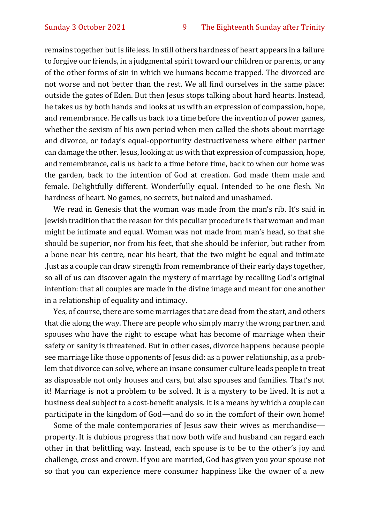remains together but is lifeless. In still others hardness of heart appears in a failure to forgive our friends, in a judgmental spirit toward our children or parents, or any of the other forms of sin in which we humans become trapped. The divorced are not worse and not better than the rest. We all find ourselves in the same place: outside the gates of Eden. But then Jesus stops talking about hard hearts. Instead, he takes us by both hands and looks at us with an expression of compassion, hope, and remembrance. He calls us back to a time before the invention of power games, whether the sexism of his own period when men called the shots about marriage and divorce, or today's equal-opportunity destructiveness where either partner can damage the other. Jesus, looking at us with that expression of compassion, hope, and remembrance, calls us back to a time before time, back to when our home was the garden, back to the intention of God at creation. God made them male and female. Delightfully different. Wonderfully equal. Intended to be one flesh. No hardness of heart. No games, no secrets, but naked and unashamed.

We read in Genesis that the woman was made from the man's rib. It's said in Jewish tradition that the reason for this peculiar procedure is that woman and man might be intimate and equal. Woman was not made from man's head, so that she should be superior, nor from his feet, that she should be inferior, but rather from a bone near his centre, near his heart, that the two might be equal and intimate .Just as a couple can draw strength from remembrance of their early days together, so all of us can discover again the mystery of marriage by recalling God's original intention: that all couples are made in the divine image and meant for one another in a relationship of equality and intimacy.

Yes, of course, there are some marriages that are dead from the start, and others that die along the way. There are people who simply marry the wrong partner, and spouses who have the right to escape what has become of marriage when their safety or sanity is threatened. But in other cases, divorce happens because people see marriage like those opponents of Jesus did: as a power relationship, as a problem that divorce can solve, where an insane consumer culture leads people to treat as disposable not only houses and cars, but also spouses and families. That's not it! Marriage is not a problem to be solved. It is a mystery to be lived. It is not a business deal subject to a cost-benefit analysis. It is a means by which a couple can participate in the kingdom of God—and do so in the comfort of their own home!

Some of the male contemporaries of Jesus saw their wives as merchandise property. It is dubious progress that now both wife and husband can regard each other in that belittling way. Instead, each spouse is to be to the other's joy and challenge, cross and crown. If you are married, God has given you your spouse not so that you can experience mere consumer happiness like the owner of a new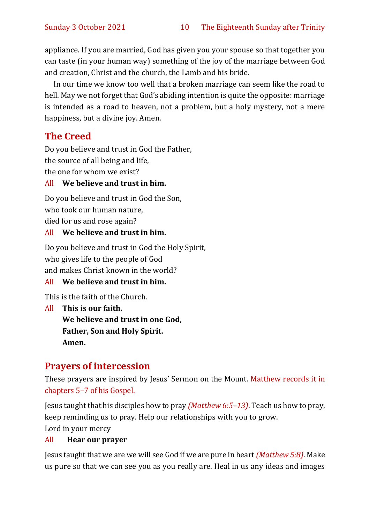appliance. If you are married, God has given you your spouse so that together you can taste (in your human way) something of the joy of the marriage between God and creation, Christ and the church, the Lamb and his bride.

In our time we know too well that a broken marriage can seem like the road to hell. May we not forget that God's abiding intention is quite the opposite: marriage is intended as a road to heaven, not a problem, but a holy mystery, not a mere happiness, but a divine joy. Amen.

#### **The Creed**

Do you believe and trust in God the Father, the source of all being and life, the one for whom we exist?

#### All **We believe and trust in him.**

Do you believe and trust in God the Son, who took our human nature, died for us and rose again?

All **We believe and trust in him.**

Do you believe and trust in God the Holy Spirit, who gives life to the people of God and makes Christ known in the world?

#### All **We believe and trust in him.**

This is the faith of the Church.

All **This is our faith. We believe and trust in one God, Father, Son and Holy Spirit. Amen.**

#### **Prayers of intercession**

These prayers are inspired by Jesus' Sermon on the Mount. Matthew records it in chapters 5–7 of his Gospel.

Jesus taught that his disciples how to pray *(Matthew 6:5–13)*. Teach us how to pray, keep reminding us to pray. Help our relationships with you to grow. Lord in your mercy

#### All **Hear our prayer**

Jesus taught that we are we will see God if we are pure in heart *(Matthew 5:8)*. Make us pure so that we can see you as you really are. Heal in us any ideas and images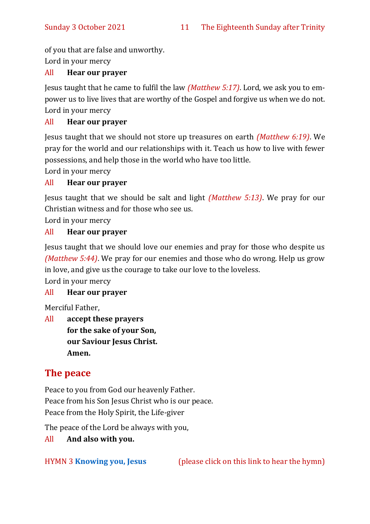of you that are false and unworthy.

Lord in your mercy

#### All **Hear our prayer**

Jesus taught that he came to fulfil the law *(Matthew 5:17)*. Lord, we ask you to empower us to live lives that are worthy of the Gospel and forgive us when we do not. Lord in your mercy

#### All **Hear our prayer**

Jesus taught that we should not store up treasures on earth *(Matthew 6:19)*. We pray for the world and our relationships with it. Teach us how to live with fewer possessions, and help those in the world who have too little.

Lord in your mercy

#### All **Hear our prayer**

Jesus taught that we should be salt and light *(Matthew 5:13)*. We pray for our Christian witness and for those who see us.

Lord in your mercy

#### All **Hear our prayer**

Jesus taught that we should love our enemies and pray for those who despite us *(Matthew 5:44)*. We pray for our enemies and those who do wrong. Help us grow in love, and give us the courage to take our love to the loveless.

Lord in your mercy

#### All **Hear our prayer**

Merciful Father,

All **accept these prayers for the sake of your Son, our Saviour Jesus Christ. Amen.**

#### **The peace**

Peace to you from God our heavenly Father. Peace from his Son Jesus Christ who is our peace. Peace from the Holy Spirit, the Life-giver

The peace of the Lord be always with you,

All **And also with you.**

HYMN 3 **[Knowing you, Jesus](https://www.youtube.com/watch?v=60I5MoRTCm8)** (please click on this link to hear the hymn)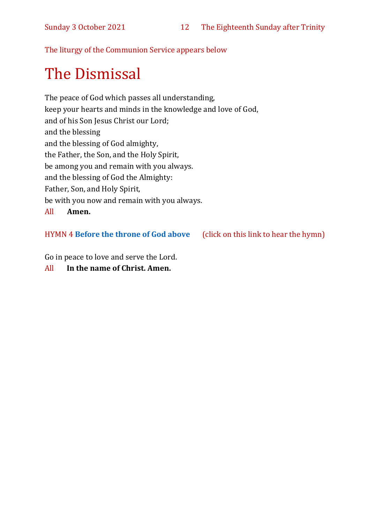The liturgy of the Communion Service appears below

# The Dismissal

The peace of God which passes all understanding, keep your hearts and minds in the knowledge and love of God, and of his Son Jesus Christ our Lord; and the blessing and the blessing of God almighty, the Father, the Son, and the Holy Spirit, be among you and remain with you always. and the blessing of God the Almighty: Father, Son, and Holy Spirit, be with you now and remain with you always. All **Amen.**

#### HYMN 4 **[Before the throne of God above](https://www.youtube.com/watch?v=-50pFs0hRpg)** (click on this link to hear the hymn)

Go in peace to love and serve the Lord.

All **In the name of Christ. Amen.**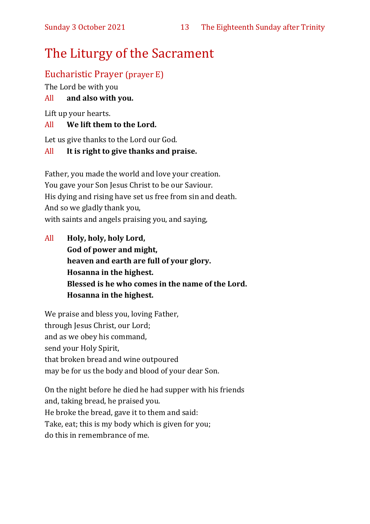## The Liturgy of the Sacrament

#### Eucharistic Prayer (prayer E)

The Lord be with you

#### All **and also with you.**

Lift up your hearts.

#### All **We lift them to the Lord.**

Let us give thanks to the Lord our God.

#### All **It is right to give thanks and praise.**

Father, you made the world and love your creation. You gave your Son Jesus Christ to be our Saviour. His dying and rising have set us free from sin and death. And so we gladly thank you, with saints and angels praising you, and saying,

All **Holy, holy, holy Lord, God of power and might, heaven and earth are full of your glory. Hosanna in the highest. Blessed is he who comes in the name of the Lord. Hosanna in the highest.**

We praise and bless you, loving Father, through Jesus Christ, our Lord; and as we obey his command, send your Holy Spirit, that broken bread and wine outpoured may be for us the body and blood of your dear Son.

On the night before he died he had supper with his friends and, taking bread, he praised you. He broke the bread, gave it to them and said: Take, eat; this is my body which is given for you; do this in remembrance of me.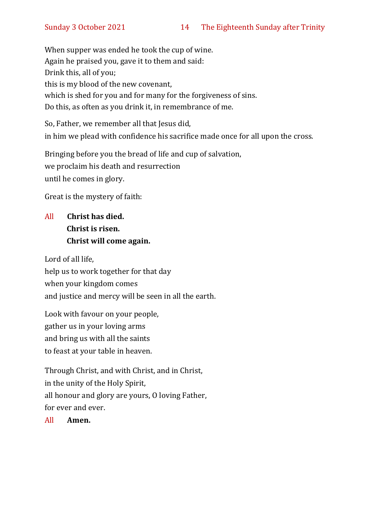When supper was ended he took the cup of wine. Again he praised you, gave it to them and said: Drink this, all of you; this is my blood of the new covenant, which is shed for you and for many for the forgiveness of sins. Do this, as often as you drink it, in remembrance of me.

So, Father, we remember all that Jesus did, in him we plead with confidence his sacrifice made once for all upon the cross.

Bringing before you the bread of life and cup of salvation, we proclaim his death and resurrection until he comes in glory.

Great is the mystery of faith:

#### All **Christ has died. Christ is risen. Christ will come again.**

Lord of all life, help us to work together for that day when your kingdom comes and justice and mercy will be seen in all the earth.

Look with favour on your people, gather us in your loving arms and bring us with all the saints to feast at your table in heaven.

Through Christ, and with Christ, and in Christ, in the unity of the Holy Spirit, all honour and glory are yours, O loving Father, for ever and ever.

All **Amen.**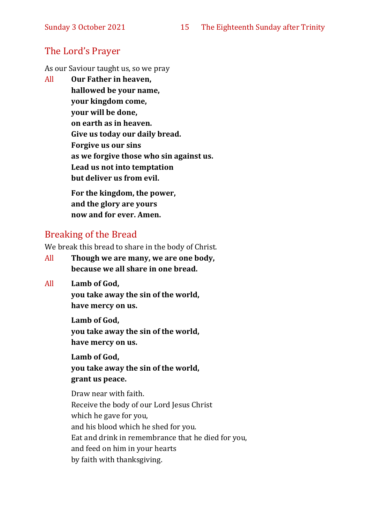#### The Lord's Prayer

As our Saviour taught us, so we pray

All **Our Father in heaven, hallowed be your name, your kingdom come, your will be done, on earth as in heaven. Give us today our daily bread. Forgive us our sins as we forgive those who sin against us. Lead us not into temptation but deliver us from evil. For the kingdom, the power,** 

**and the glory are yours now and for ever. Amen.**

#### Breaking of the Bread

We break this bread to share in the body of Christ.

- All **Though we are many, we are one body, because we all share in one bread.**
- All **Lamb of God,**

**you take away the sin of the world, have mercy on us.**

**Lamb of God, you take away the sin of the world, have mercy on us.**

**Lamb of God, you take away the sin of the world, grant us peace.**

Draw near with faith. Receive the body of our Lord Jesus Christ which he gave for you, and his blood which he shed for you. Eat and drink in remembrance that he died for you, and feed on him in your hearts by faith with thanksgiving.